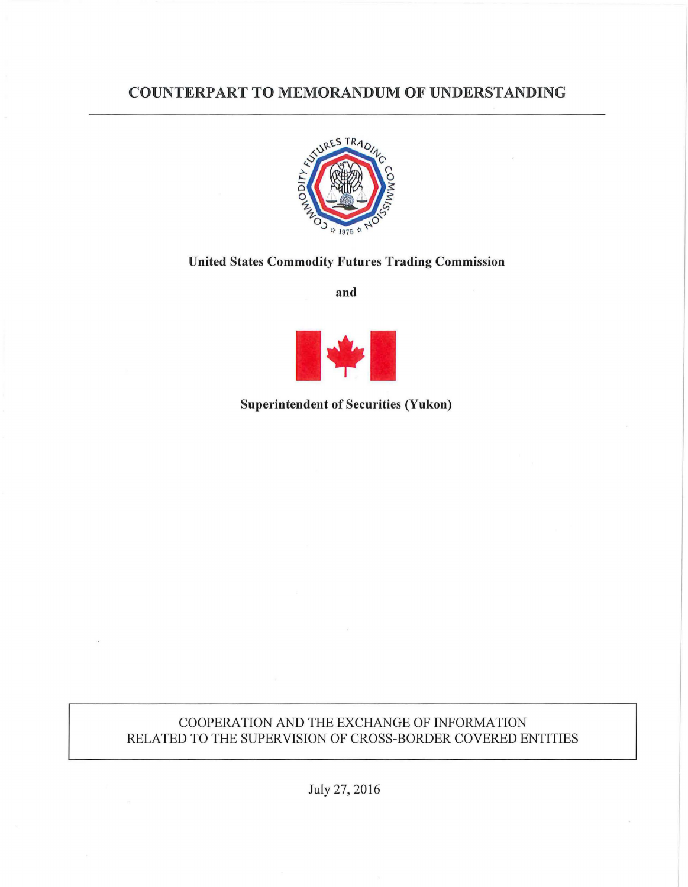# COUNTERPART TO MEMORANDUM OF UNDERSTANDING



## United States Commodity Futures Trading Commission

and



## Superintendent of Securities (Yukon)

# COOPERATION AND THE EXCHANGE OF INFORMATION RELATED TO THE SUPERVISION OF CROSS-BORDER COVERED ENTITIES

July 27, 2016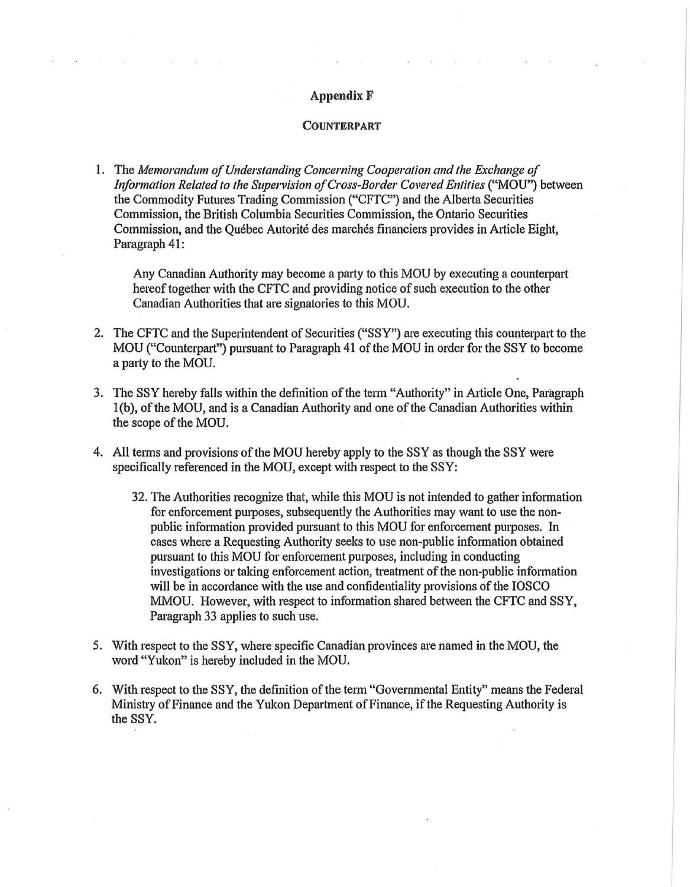### Appendix F

#### COUNTERPART

1. The *Memorandum of Understanding Concerning Cooperation and the Exchange of Information Related to the Supervision ofCross-Border Covered Entities* ("MOU") between the Commodity Futures Trading Commission ("CFTC") and the Alberta Securities Commission, the British Columbia Securities Commission, the Ontario Securities Commission, and the Québec Autorité des marchés financiers provides in Article Eight, Paragraph 41:

Any Canadian Authority may become a party to this MOU by executing a counterpart hereof together with the CFTC and providing notice of such execution to the other Canadian Authorities that are signatories to this MOU.

- 2. The CFTC and the Superintendent of Securities ("SSY") are executing this counterpart to the MOU ("Counterpart") pursuant to Paragraph 41 of the MOU in order for the SSY to become a party to the MOU.
- 3. The SSY hereby falls within the definition of the term "Authority" in Article One, Paragraph 1(b), of the MOU, and is a Canadian Authority and one of the Canadian Authorities within the scope of the MOU.
- 4. All terms and provisions of the MOU hereby apply to the SSY as though the SSY were specifically referenced in the MOU, except with respect to the SSY:
	- 32. The Authorities recognize that, while this MOU is not intended to gather information for enforcement purposes, subsequently the Authorities may want to use the nonpublic information provided pursuant to this MOU for enforcement purposes. In cases where a Requesting Authority seeks to use non-public information obtained pursuant to this MOU for enforcement purposes, including in conducting investigations or taking enforcement action, treatment of the non-public information will be in accordance with the use and confidentiality provisions of the IOSCO MMOU. However, with respect to information shared between the CFTC and SSY, Paragraph 33 applies to such use.
- 5. With respect to the SSY, where specific Canadian provinces are named in the MOU, the word "Yukon" is hereby included in the MOU.
- 6. With respect to the SSY, the definition of the term "Governmental Entity" means the Federal Ministry of Finance and the Yukon Department of Finance, if the Requesting Authority is the SSY.